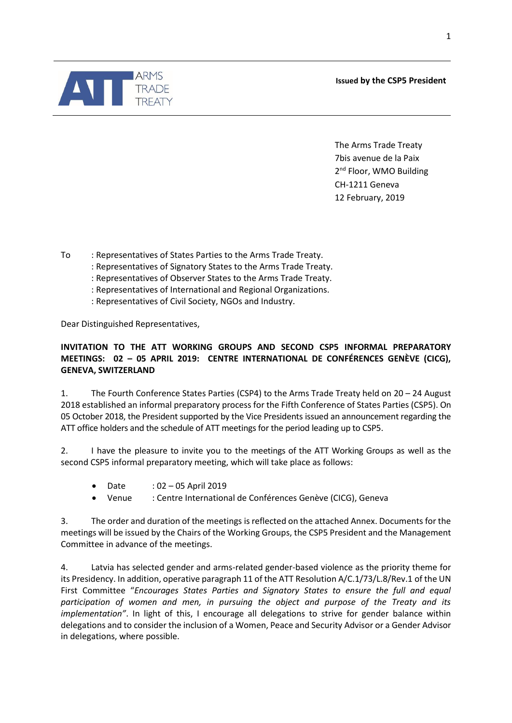**Issued by the CSP5 President**

The Arms Trade Treaty 7bis avenue de la Paix 2<sup>nd</sup> Floor, WMO Building CH-1211 Geneva 12 February, 2019

To : Representatives of States Parties to the Arms Trade Treaty.

- : Representatives of Signatory States to the Arms Trade Treaty.
- : Representatives of Observer States to the Arms Trade Treaty.
- : Representatives of International and Regional Organizations.
- : Representatives of Civil Society, NGOs and Industry.

Dear Distinguished Representatives,

## **INVITATION TO THE ATT WORKING GROUPS AND SECOND CSP5 INFORMAL PREPARATORY MEETINGS: 02 – 05 APRIL 2019: CENTRE INTERNATIONAL DE CONFÉRENCES GENÈVE (CICG), GENEVA, SWITZERLAND**

1. The Fourth Conference States Parties (CSP4) to the Arms Trade Treaty held on 20 – 24 August 2018 established an informal preparatory process for the Fifth Conference of States Parties (CSP5). On 05 October 2018, the President supported by the Vice Presidents issued an announcement regarding the ATT office holders and the schedule of ATT meetings for the period leading up to CSP5.

2. I have the pleasure to invite you to the meetings of the ATT Working Groups as well as the second CSP5 informal preparatory meeting, which will take place as follows:

- Date : 02 05 April 2019
- Venue : Centre International de Conférences Genève (CICG), Geneva

3. The order and duration of the meetings is reflected on the attached Annex. Documents for the meetings will be issued by the Chairs of the Working Groups, the CSP5 President and the Management Committee in advance of the meetings.

4. Latvia has selected gender and arms-related gender-based violence as the priority theme for its Presidency. In addition, operative paragraph 11 of the ATT Resolution A/C.1/73/L.8/Rev.1 of the UN First Committee "*Encourages States Parties and Signatory States to ensure the full and equal participation of women and men, in pursuing the object and purpose of the Treaty and its implementation"*. In light of this, I encourage all delegations to strive for gender balance within delegations and to consider the inclusion of a Women, Peace and Security Advisor or a Gender Advisor in delegations, where possible.

1

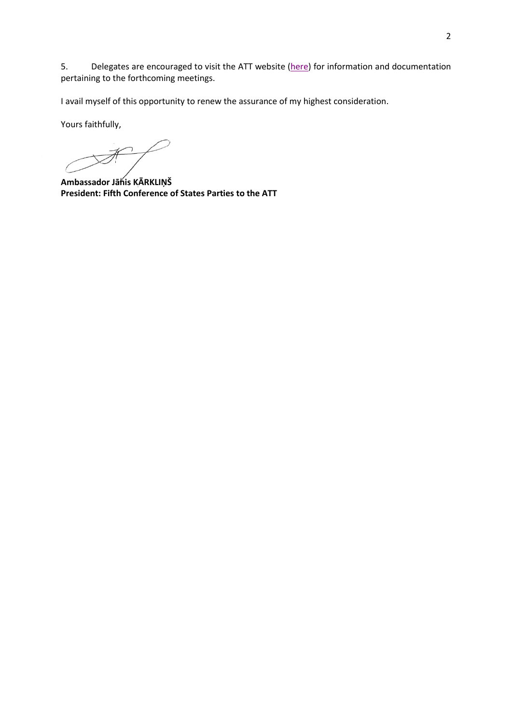5. Delegates are encouraged to visit the ATT website [\(here\)](https://www.thearmstradetreaty.org/2nd-working-group-and-preparatory-meetings?templateId=1250911) for information and documentation pertaining to the forthcoming meetings.

I avail myself of this opportunity to renew the assurance of my highest consideration.

Yours faithfully,

Ħ

**Ambassador Jānis KĀRKLIŅŠ President: Fifth Conference of States Parties to the ATT**